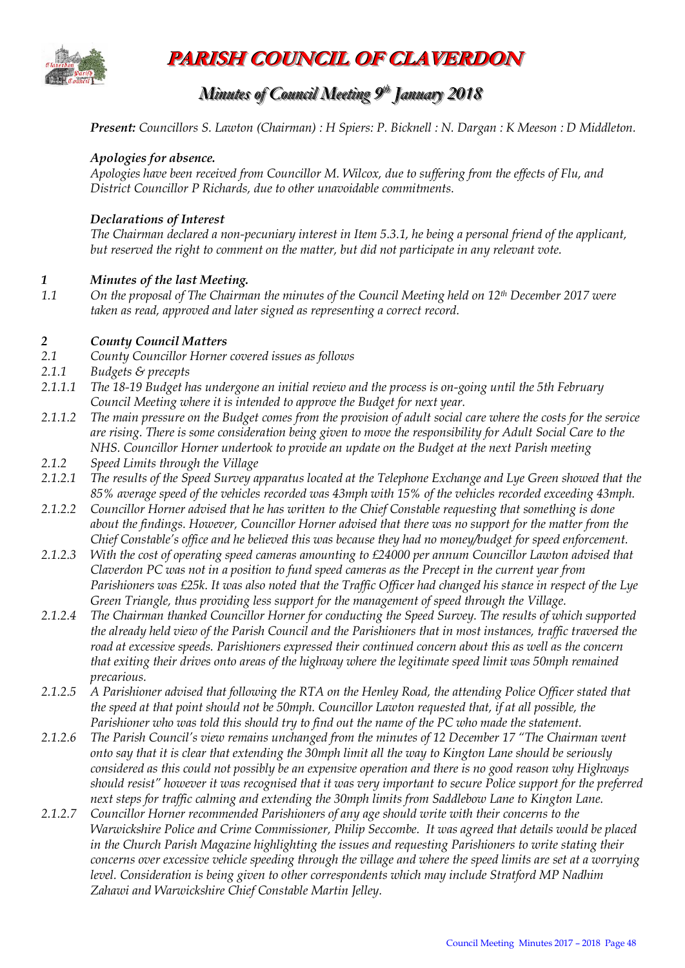

**PARISH COUNCIL OF CLAVERDON**

# *Minutes of Council Meeting 9 t thh January 2018*

*Present: Councillors S. Lawton (Chairman) : H Spiers: P. Bicknell : N. Dargan : K Meeson : D Middleton.* 

#### *Apologies for absence.*

*Apologies have been received from Councillor M. Wilcox, due to suffering from the effects of Flu, and District Councillor P Richards, due to other unavoidable commitments.* 

#### *Declarations of Interest*

*The Chairman declared a non-pecuniary interest in Item 5.3.1, he being a personal friend of the applicant, but reserved the right to comment on the matter, but did not participate in any relevant vote.*

#### *1 Minutes of the last Meeting.*

*1.1 On the proposal of The Chairman the minutes of the Council Meeting held on 12th December 2017 were taken as read, approved and later signed as representing a correct record.*

#### *2 County Council Matters*

- *2.1 County Councillor Horner covered issues as follows*
- *2.1.1 Budgets & precepts*
- *2.1.1.1 The 18-19 Budget has undergone an initial review and the process is on-going until the 5th February Council Meeting where it is intended to approve the Budget for next year.*
- *2.1.1.2 The main pressure on the Budget comes from the provision of adult social care where the costs for the service are rising. There is some consideration being given to move the responsibility for Adult Social Care to the NHS. Councillor Horner undertook to provide an update on the Budget at the next Parish meeting*
- *2.1.2 Speed Limits through the Village*
- *2.1.2.1 The results of the Speed Survey apparatus located at the Telephone Exchange and Lye Green showed that the 85% average speed of the vehicles recorded was 43mph with 15% of the vehicles recorded exceeding 43mph.*
- *2.1.2.2 Councillor Horner advised that he has written to the Chief Constable requesting that something is done about the findings. However, Councillor Horner advised that there was no support for the matter from the Chief Constable's office and he believed this was because they had no money/budget for speed enforcement.*
- *2.1.2.3 With the cost of operating speed cameras amounting to £24000 per annum Councillor Lawton advised that Claverdon PC was not in a position to fund speed cameras as the Precept in the current year from Parishioners was £25k. It was also noted that the Traffic Officer had changed his stance in respect of the Lye Green Triangle, thus providing less support for the management of speed through the Village.*
- *2.1.2.4 The Chairman thanked Councillor Horner for conducting the Speed Survey. The results of which supported the already held view of the Parish Council and the Parishioners that in most instances, traffic traversed the road at excessive speeds. Parishioners expressed their continued concern about this as well as the concern that exiting their drives onto areas of the highway where the legitimate speed limit was 50mph remained precarious.*
- *2.1.2.5 A Parishioner advised that following the RTA on the Henley Road, the attending Police Officer stated that the speed at that point should not be 50mph. Councillor Lawton requested that, if at all possible, the Parishioner who was told this should try to find out the name of the PC who made the statement.*
- *2.1.2.6 The Parish Council's view remains unchanged from the minutes of 12 December 17 "The Chairman went onto say that it is clear that extending the 30mph limit all the way to Kington Lane should be seriously considered as this could not possibly be an expensive operation and there is no good reason why Highways should resist" however it was recognised that it was very important to secure Police support for the preferred next steps for traffic calming and extending the 30mph limits from Saddlebow Lane to Kington Lane.*
- *2.1.2.7 Councillor Horner recommended Parishioners of any age should write with their concerns to the Warwickshire Police and Crime Commissioner, Philip Seccombe. It was agreed that details would be placed in the Church Parish Magazine highlighting the issues and requesting Parishioners to write stating their concerns over excessive vehicle speeding through the village and where the speed limits are set at a worrying level. Consideration is being given to other correspondents which may include Stratford MP Nadhim Zahawi and Warwickshire Chief Constable Martin Jelley.*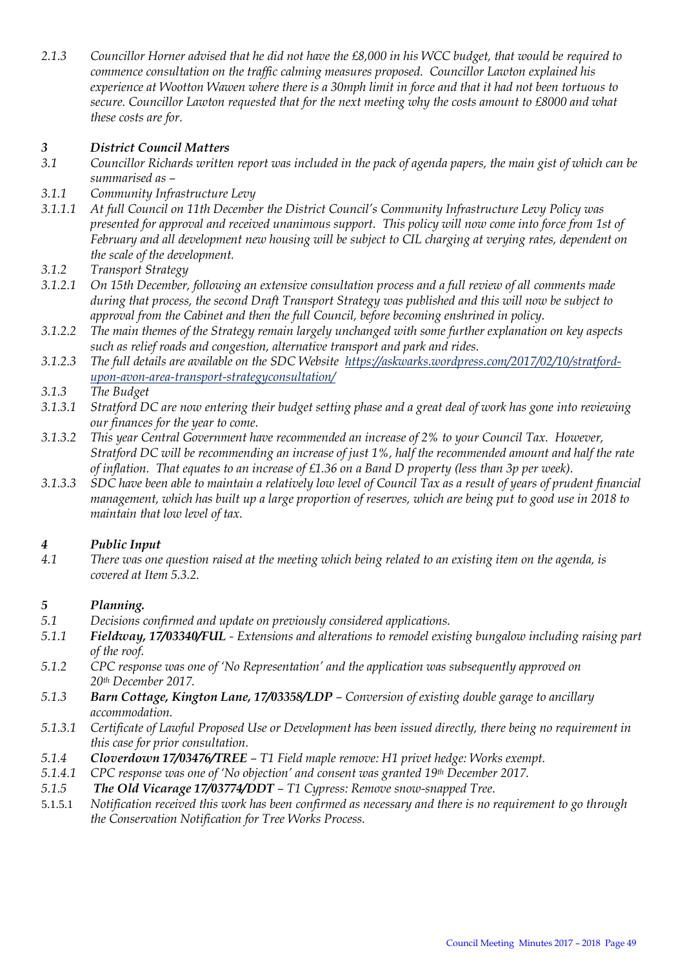*2.1.3 Councillor Horner advised that he did not have the £8,000 in his WCC budget, that would be required to commence consultation on the traffic calming measures proposed. Councillor Lawton explained his experience at Wootton Wawen where there is a 30mph limit in force and that it had not been tortuous to secure. Councillor Lawton requested that for the next meeting why the costs amount to £8000 and what these costs are for.*

# *3 District Council Matters*

- *3.1 Councillor Richards written report was included in the pack of agenda papers, the main gist of which can be summarised as –*
- *3.1.1 Community Infrastructure Levy*
- *3.1.1.1 At full Council on 11th December the District Council's Community Infrastructure Levy Policy was presented for approval and received unanimous support. This policy will now come into force from 1st of February and all development new housing will be subject to CIL charging at verying rates, dependent on the scale of the development.*
- *3.1.2 Transport Strategy*
- *3.1.2.1 On 15th December, following an extensive consultation process and a full review of all comments made during that process, the second Draft Transport Strategy was published and this will now be subject to approval from the Cabinet and then the full Council, before becoming enshrined in policy.*
- *3.1.2.2 The main themes of the Strategy remain largely unchanged with some further explanation on key aspects such as relief roads and congestion, alternative transport and park and rides.*
- *3.1.2.3 The full details are available on the SDC Website [https://askwarks.wordpress.com/2017/02/10/stratford](https://askwarks.wordpress.com/2017/02/10/stratford-upon-avon-area-transport-strategyconsultation/)[upon-avon-area-transport-strategyconsultation/](https://askwarks.wordpress.com/2017/02/10/stratford-upon-avon-area-transport-strategyconsultation/)*
- *3.1.3 The Budget*
- *3.1.3.1 Stratford DC are now entering their budget setting phase and a great deal of work has gone into reviewing our finances for the year to come.*
- *3.1.3.2 This year Central Government have recommended an increase of 2% to your Council Tax. However, Stratford DC will be recommending an increase of just 1%, half the recommended amount and half the rate of inflation. That equates to an increase of £1.36 on a Band D property (less than 3p per week).*
- *3.1.3.3 SDC have been able to maintain a relatively low level of Council Tax as a result of years of prudent financial management, which has built up a large proportion of reserves, which are being put to good use in 2018 to maintain that low level of tax.*

## *4 Public Input*

*4.1 There was one question raised at the meeting which being related to an existing item on the agenda, is covered at Item 5.3.2.* 

## *5 Planning.*

- *5.1 Decisions confirmed and update on previously considered applications.*
- *5.1.1 Fieldway, 17/03340/FUL - Extensions and alterations to remodel existing bungalow including raising part of the roof.*
- *5.1.2 CPC response was one of 'No Representation' and the application was subsequently approved on 20th December 2017.*
- *5.1.3 Barn Cottage, Kington Lane, 17/03358/LDP – Conversion of existing double garage to ancillary accommodation.*
- *5.1.3.1 Certificate of Lawful Proposed Use or Development has been issued directly, there being no requirement in this case for prior consultation.*
- *5.1.4 Cloverdown 17/03476/TREE – T1 Field maple remove: H1 privet hedge: Works exempt.*
- *5.1.4.1 CPC response was one of 'No objection' and consent was granted 19th December 2017.*
- *5.1.5 The Old Vicarage 17/03774/DDT – T1 Cypress: Remove snow-snapped Tree.*
- 5.1.5.1 *Notification received this work has been confirmed as necessary and there is no requirement to go through the Conservation Notification for Tree Works Process.*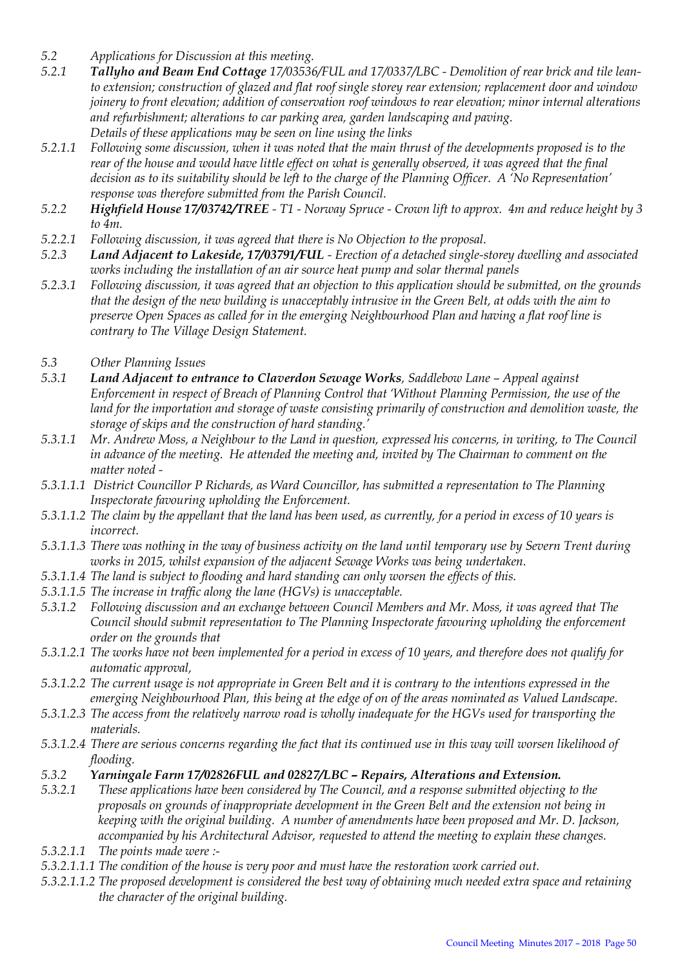- *5.2 Applications for Discussion at this meeting.*
- *5.2.1 Tallyho and Beam End Cottage 17/03536/FUL and 17/0337/LBC - Demolition of rear brick and tile leanto extension; construction of glazed and flat roof single storey rear extension; replacement door and window joinery to front elevation; addition of conservation roof windows to rear elevation; minor internal alterations and refurbishment; alterations to car parking area, garden landscaping and paving. Details of these applications may be seen on line using the links*
- *5.2.1.1 Following some discussion, when it was noted that the main thrust of the developments proposed is to the rear of the house and would have little effect on what is generally observed, it was agreed that the final decision as to its suitability should be left to the charge of the Planning Officer. A 'No Representation' response was therefore submitted from the Parish Council.*
- *5.2.2 Highfield House 17/03742/TREE - T1 - Norway Spruce - Crown lift to approx. 4m and reduce height by 3 to 4m.*
- *5.2.2.1 Following discussion, it was agreed that there is No Objection to the proposal.*
- *5.2.3 Land Adjacent to Lakeside, 17/03791/FUL - Erection of a detached single-storey dwelling and associated works including the installation of an air source heat pump and solar thermal panels*
- *5.2.3.1 Following discussion, it was agreed that an objection to this application should be submitted, on the grounds that the design of the new building is unacceptably intrusive in the Green Belt, at odds with the aim to preserve Open Spaces as called for in the emerging Neighbourhood Plan and having a flat roof line is contrary to The Village Design Statement.*
- *5.3 Other Planning Issues*
- *5.3.1 Land Adjacent to entrance to Claverdon Sewage Works, Saddlebow Lane – Appeal against Enforcement in respect of Breach of Planning Control that 'Without Planning Permission, the use of the land for the importation and storage of waste consisting primarily of construction and demolition waste, the storage of skips and the construction of hard standing.'*
- *5.3.1.1 Mr. Andrew Moss, a Neighbour to the Land in question, expressed his concerns, in writing, to The Council in advance of the meeting. He attended the meeting and, invited by The Chairman to comment on the matter noted -*
- *5.3.1.1.1 District Councillor P Richards, as Ward Councillor, has submitted a representation to The Planning Inspectorate favouring upholding the Enforcement.*
- *5.3.1.1.2 The claim by the appellant that the land has been used, as currently, for a period in excess of 10 years is incorrect.*
- *5.3.1.1.3 There was nothing in the way of business activity on the land until temporary use by Severn Trent during works in 2015, whilst expansion of the adjacent Sewage Works was being undertaken.*
- *5.3.1.1.4 The land is subject to flooding and hard standing can only worsen the effects of this.*
- *5.3.1.1.5 The increase in traffic along the lane (HGVs) is unacceptable.*
- *5.3.1.2 Following discussion and an exchange between Council Members and Mr. Moss, it was agreed that The Council should submit representation to The Planning Inspectorate favouring upholding the enforcement order on the grounds that*
- *5.3.1.2.1 The works have not been implemented for a period in excess of 10 years, and therefore does not qualify for automatic approval,*
- *5.3.1.2.2 The current usage is not appropriate in Green Belt and it is contrary to the intentions expressed in the emerging Neighbourhood Plan, this being at the edge of on of the areas nominated as Valued Landscape.*
- *5.3.1.2.3 The access from the relatively narrow road is wholly inadequate for the HGVs used for transporting the materials.*
- *5.3.1.2.4 There are serious concerns regarding the fact that its continued use in this way will worsen likelihood of flooding.*
- *5.3.2 Yarningale Farm 17/02826FUL and 02827/LBC – Repairs, Alterations and Extension.*
- *5.3.2.1 These applications have been considered by The Council, and a response submitted objecting to the proposals on grounds of inappropriate development in the Green Belt and the extension not being in keeping with the original building. A number of amendments have been proposed and Mr. D. Jackson, accompanied by his Architectural Advisor, requested to attend the meeting to explain these changes.*
- *5.3.2.1.1 The points made were :-*
- *5.3.2.1.1.1 The condition of the house is very poor and must have the restoration work carried out.*
- *5.3.2.1.1.2 The proposed development is considered the best way of obtaining much needed extra space and retaining the character of the original building.*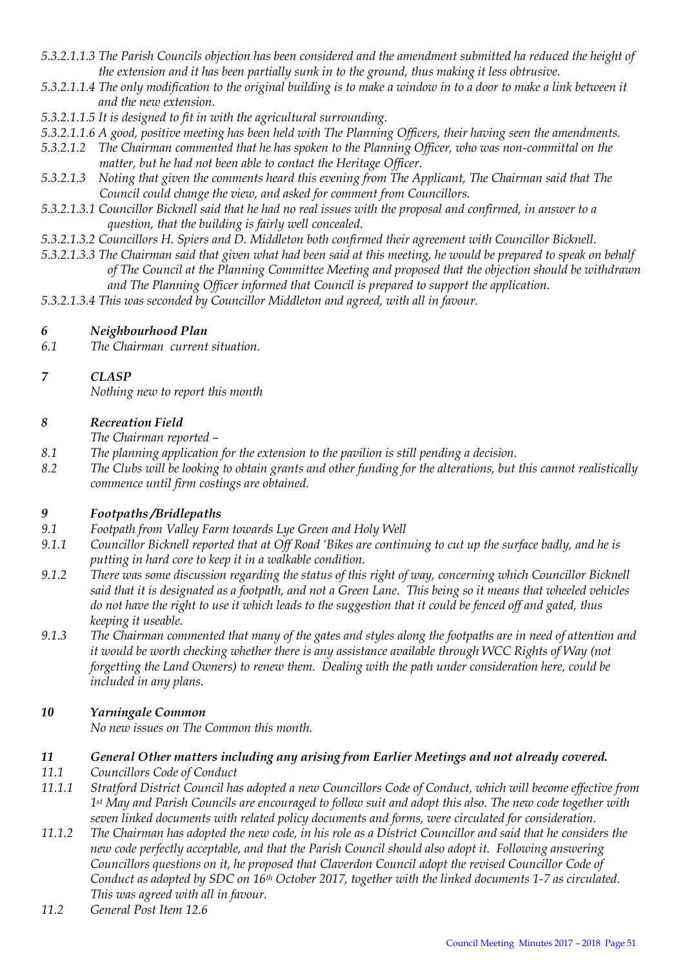- *5.3.2.1.1.3 The Parish Councils objection has been considered and the amendment submitted ha reduced the height of the extension and it has been partially sunk in to the ground, thus making it less obtrusive.*
- *5.3.2.1.1.4 The only modification to the original building is to make a window in to a door to make a link between it and the new extension.*
- *5.3.2.1.1.5 It is designed to fit in with the agricultural surrounding.*
- *5.3.2.1.1.6 A good, positive meeting has been held with The Planning Officers, their having seen the amendments.*
- *5.3.2.1.2 The Chairman commented that he has spoken to the Planning Officer, who was non-committal on the matter, but he had not been able to contact the Heritage Officer.*
- *5.3.2.1.3 Noting that given the comments heard this evening from The Applicant, The Chairman said that The Council could change the view, and asked for comment from Councillors.*
- *5.3.2.1.3.1 Councillor Bicknell said that he had no real issues with the proposal and confirmed, in answer to a question, that the building is fairly well concealed.*
- *5.3.2.1.3.2 Councillors H. Spiers and D. Middleton both confirmed their agreement with Councillor Bicknell.*
- *5.3.2.1.3.3 The Chairman said that given what had been said at this meeting, he would be prepared to speak on behalf of The Council at the Planning Committee Meeting and proposed that the objection should be withdrawn and The Planning Officer informed that Council is prepared to support the application.*
- *5.3.2.1.3.4 This was seconded by Councillor Middleton and agreed, with all in favour.*

## *6 Neighbourhood Plan*

*6.1 The Chairman current situation.*

# *7 CLASP*

*Nothing new to report this month*

## *8 Recreation Field*

*The Chairman reported –*

- *8.1 The planning application for the extension to the pavilion is still pending a decision.*
- *8.2 The Clubs will be looking to obtain grants and other funding for the alterations, but this cannot realistically commence until firm costings are obtained.*

# *9 Footpaths /Bridlepaths*

- *9.1 Footpath from Valley Farm towards Lye Green and Holy Well*
- *9.1.1 Councillor Bicknell reported that at Off Road 'Bikes are continuing to cut up the surface badly, and he is putting in hard core to keep it in a walkable condition.*
- *9.1.2 There was some discussion regarding the status of this right of way, concerning which Councillor Bicknell said that it is designated as a footpath, and not a Green Lane. This being so it means that wheeled vehicles do not have the right to use it which leads to the suggestion that it could be fenced off and gated, thus keeping it useable.*
- *9.1.3 The Chairman commented that many of the gates and styles along the footpaths are in need of attention and it would be worth checking whether there is any assistance available through WCC Rights of Way (not forgetting the Land Owners) to renew them. Dealing with the path under consideration here, could be included in any plans.*

# *10 Yarningale Common*

*No new issues on The Common this month.*

## *11 General Other matters including any arising from Earlier Meetings and not already covered.*

- *11.1 Councillors Code of Conduct*
- *11.1.1 Stratford District Council has adopted a new Councillors Code of Conduct, which will become effective from 1st May and Parish Councils are encouraged to follow suit and adopt this also. The new code together with seven linked documents with related policy documents and forms, were circulated for consideration.*
- *11.1.2 The Chairman has adopted the new code, in his role as a District Councillor and said that he considers the new code perfectly acceptable, and that the Parish Council should also adopt it. Following answering Councillors questions on it, he proposed that Claverdon Council adopt the revised Councillor Code of Conduct as adopted by SDC on 16th October 2017, together with the linked documents 1-7 as circulated. This was agreed with all in favour.*
- *11.2 General Post Item 12.6*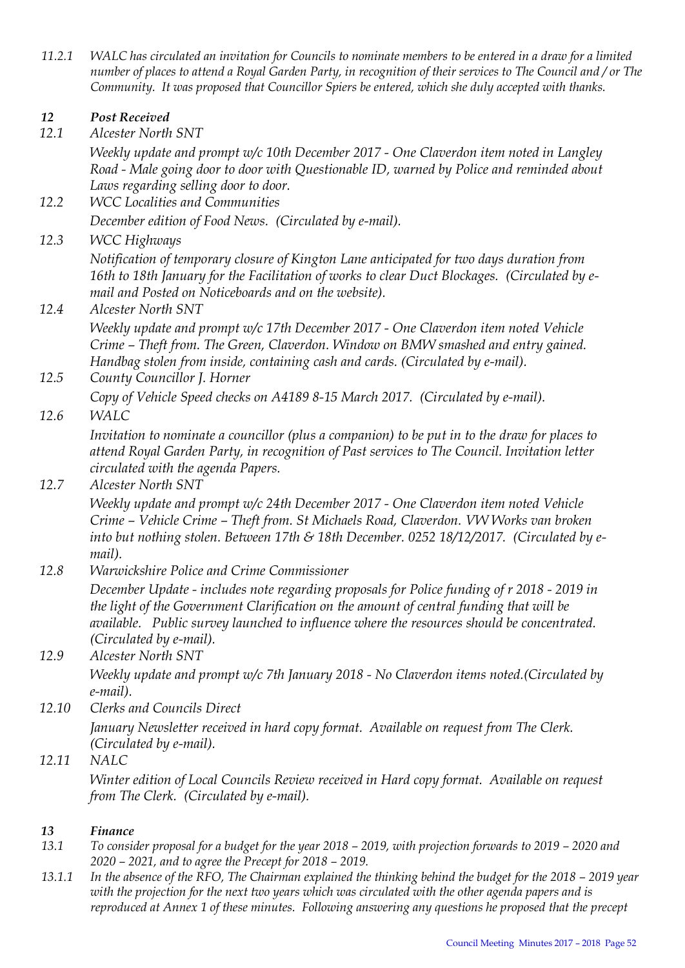*11.2.1 WALC has circulated an invitation for Councils to nominate members to be entered in a draw for a limited number of places to attend a Royal Garden Party, in recognition of their services to The Council and / or The Community. It was proposed that Councillor Spiers be entered, which she duly accepted with thanks.* 

# *12 Post Received*

*12.1 Alcester North SNT*

*Weekly update and prompt w/c 10th December 2017 - One Claverdon item noted in Langley Road - Male going door to door with Questionable ID, warned by Police and reminded about Laws regarding selling door to door.*

- *12.2 WCC Localities and Communities December edition of Food News. (Circulated by e-mail).*
- *12.3 WCC Highways*

*Notification of temporary closure of Kington Lane anticipated for two days duration from 16th to 18th January for the Facilitation of works to clear Duct Blockages. (Circulated by email and Posted on Noticeboards and on the website).* 

*12.4 Alcester North SNT*

*Weekly update and prompt w/c 17th December 2017 - One Claverdon item noted Vehicle Crime – Theft from. The Green, Claverdon. Window on BMW smashed and entry gained. Handbag stolen from inside, containing cash and cards. (Circulated by e-mail).*

*12.5 County Councillor J. Horner Copy of Vehicle Speed checks on A4189 8-15 March 2017. (Circulated by e-mail).* 

*12.6 WALC*

*Invitation to nominate a councillor (plus a companion) to be put in to the draw for places to attend Royal Garden Party, in recognition of Past services to The Council. Invitation letter circulated with the agenda Papers.*

*12.7 Alcester North SNT*

*Weekly update and prompt w/c 24th December 2017 - One Claverdon item noted Vehicle Crime – Vehicle Crime – Theft from. St Michaels Road, Claverdon. VW Works van broken into but nothing stolen. Between 17th & 18th December. 0252 18/12/2017. (Circulated by email).*

*12.8 Warwickshire Police and Crime Commissioner*

*December Update - includes note regarding proposals for Police funding of r 2018 - 2019 in the light of the Government Clarification on the amount of central funding that will be available. Public survey launched to influence where the resources should be concentrated. (Circulated by e-mail).* 

*12.9 Alcester North SNT Weekly update and prompt w/c 7th January 2018 - No Claverdon items noted.(Circulated by* 

*e-mail).*

- *12.10 Clerks and Councils Direct January Newsletter received in hard copy format. Available on request from The Clerk. (Circulated by e-mail).*
- *12.11 NALC*

*Winter edition of Local Councils Review received in Hard copy format. Available on request from The Clerk. (Circulated by e-mail).* 

# *13 Finance*

- *13.1 To consider proposal for a budget for the year 2018 – 2019, with projection forwards to 2019 – 2020 and 2020 – 2021, and to agree the Precept for 2018 – 2019.*
- 13.1.1 In the absence of the RFO, The Chairman explained the thinking behind the budget for the 2018 2019 year *with the projection for the next two years which was circulated with the other agenda papers and is reproduced at Annex 1 of these minutes. Following answering any questions he proposed that the precept*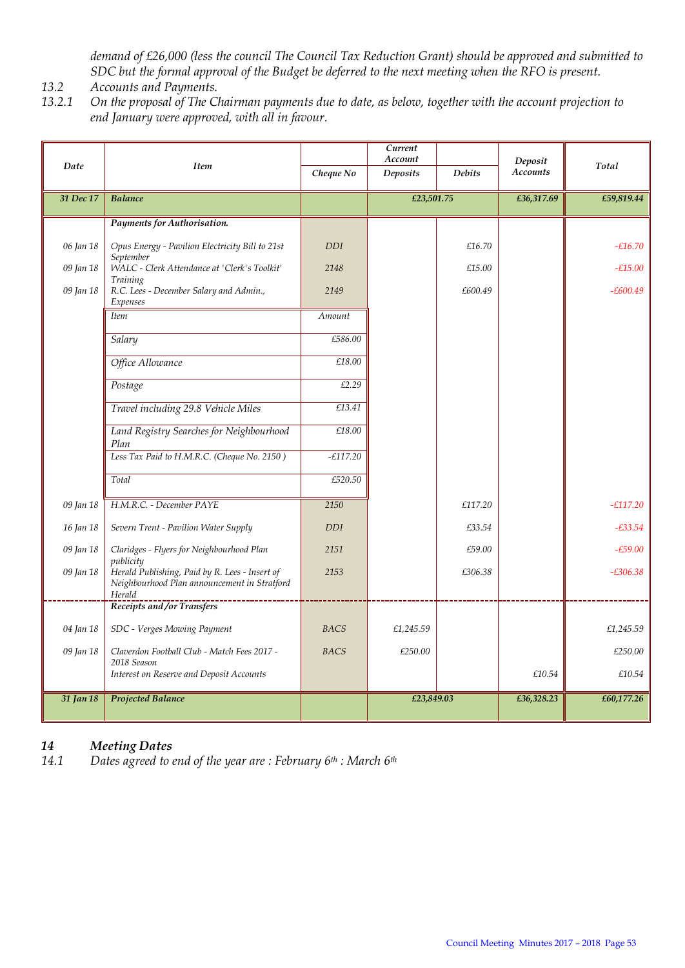*demand of £26,000 (less the council The Council Tax Reduction Grant) should be approved and submitted to SDC but the formal approval of the Budget be deferred to the next meeting when the RFO is present.* 

- *13.2 Accounts and Payments.*
- *13.2.1 On the proposal of The Chairman payments due to date, as below, together with the account projection to end January were approved, with all in favour.*

|           |                                                                                                                       |             | Current<br>Account |               | Deposit         |            |  |
|-----------|-----------------------------------------------------------------------------------------------------------------------|-------------|--------------------|---------------|-----------------|------------|--|
| Date      | <b>Item</b>                                                                                                           | Cheque No   | Deposits           | <b>Debits</b> | <b>Accounts</b> | Total      |  |
| 31 Dec 17 | <b>Balance</b>                                                                                                        |             |                    | £23,501.75    |                 | £59,819.44 |  |
|           | Payments for Authorisation.                                                                                           |             |                    |               |                 |            |  |
| 06 Jan 18 | Opus Energy - Pavilion Electricity Bill to 21st                                                                       | <b>DDI</b>  |                    | £16.70        |                 | $-£16.70$  |  |
| 09 Jan 18 | September<br>WALC - Clerk Attendance at 'Clerk's Toolkit'                                                             | 2148        |                    | £15.00        |                 | $-£15.00$  |  |
| 09 Jan 18 | Training<br>R.C. Lees - December Salary and Admin.,<br>Expenses                                                       | 2149        |                    | £600.49       |                 | $-£600.49$ |  |
|           | <b>Item</b>                                                                                                           | Amount      |                    |               |                 |            |  |
|           | Salary                                                                                                                | £586.00     |                    |               |                 |            |  |
|           | Office Allowance                                                                                                      | £18.00      |                    |               |                 |            |  |
|           | Postage                                                                                                               | £2.29       |                    |               |                 |            |  |
|           | Travel including 29.8 Vehicle Miles                                                                                   | £13.41      |                    |               |                 |            |  |
|           | Land Registry Searches for Neighbourhood<br>Plan                                                                      | £18.00      |                    |               |                 |            |  |
|           | Less Tax Paid to H.M.R.C. (Cheque No. 2150)                                                                           | $-£117.20$  |                    |               |                 |            |  |
|           | Total                                                                                                                 | £520.50     |                    |               |                 |            |  |
| 09 Jan 18 | H.M.R.C. - December PAYE                                                                                              | 2150        |                    | £117.20       |                 | $-E117.20$ |  |
| 16 Jan 18 | Severn Trent - Pavilion Water Supply                                                                                  | <b>DDI</b>  |                    | £33.54        |                 | $-£33.54$  |  |
| 09 Jan 18 | Claridges - Flyers for Neighbourhood Plan                                                                             | 2151        |                    | £59.00        |                 | $-£59.00$  |  |
| 09 Jan 18 | publicity<br>Herald Publishing, Paid by R. Lees - Insert of<br>Neighbourhood Plan announcement in Stratford<br>Herald | 2153        |                    | £306.38       |                 | $-£306.38$ |  |
|           | Receipts and/or Transfers                                                                                             |             |                    |               |                 |            |  |
| 04 Jan 18 | SDC - Verges Mowing Payment                                                                                           | <b>BACS</b> | £1,245.59          |               |                 | £1,245.59  |  |
| 09 Jan 18 | Claverdon Football Club - Match Fees 2017 -<br>2018 Season                                                            | <b>BACS</b> | £250.00            |               |                 | £250.00    |  |
|           | Interest on Reserve and Deposit Accounts                                                                              |             |                    |               | £10.54          | £10.54     |  |
| 31 Jan 18 | <b>Projected Balance</b>                                                                                              |             | £23,849.03         |               | £36,328.23      | £60,177.26 |  |

## *14 Meeting Dates*

*14.1 Dates agreed to end of the year are : February 6th : March 6th*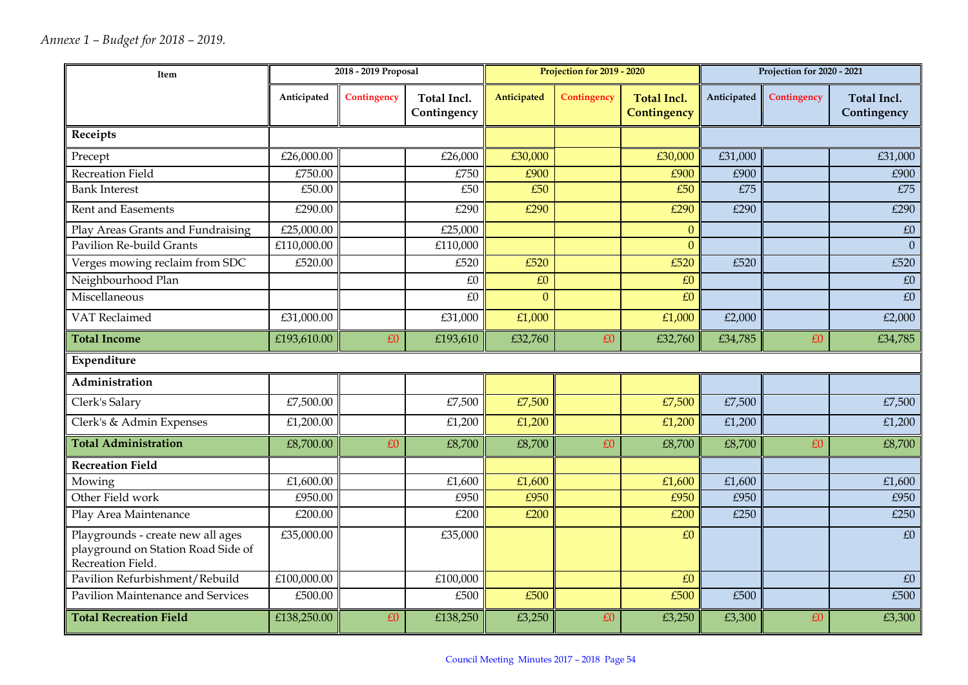| Item                                                                                         |                                        | 2018 - 2019 Proposal |                                   |             | Projection for 2019 - 2020 |                                   | Projection for 2020 - 2021 |             |                                   |
|----------------------------------------------------------------------------------------------|----------------------------------------|----------------------|-----------------------------------|-------------|----------------------------|-----------------------------------|----------------------------|-------------|-----------------------------------|
|                                                                                              | Anticipated                            | Contingency          | <b>Total Incl.</b><br>Contingency | Anticipated | Contingency                | <b>Total Incl.</b><br>Contingency | Anticipated                | Contingency | <b>Total Incl.</b><br>Contingency |
| Receipts                                                                                     |                                        |                      |                                   |             |                            |                                   |                            |             |                                   |
| Precept                                                                                      | £26,000.00                             |                      | £26,000                           | £30,000     |                            | £30,000                           | £31,000                    |             | £31,000                           |
| Recreation Field                                                                             | £750.00                                |                      | £750                              | £900        |                            | £900                              | £900                       |             | £900                              |
| <b>Bank Interest</b>                                                                         | $\overline{\text{\textsterling}}50.00$ |                      | £50                               | E50         |                            | £50                               | E75                        |             | E75                               |
| <b>Rent and Easements</b>                                                                    | £290.00                                |                      | £290                              | £290        |                            | £290                              | £290                       |             | £290                              |
| Play Areas Grants and Fundraising                                                            | £25,000.00                             |                      | £25,000                           |             |                            | $\theta$                          |                            |             | $\pounds0$                        |
| <b>Pavilion Re-build Grants</b>                                                              | £110,000.00                            |                      | £110,000                          |             |                            | $\overline{0}$                    |                            |             | $\Omega$                          |
| Verges mowing reclaim from SDC                                                               | £520.00                                |                      | £520                              | £520        |                            | £520                              | £520                       |             | £520                              |
| Neighbourhood Plan                                                                           |                                        |                      | £0                                | £0          |                            | £0                                |                            |             | £0                                |
| Miscellaneous                                                                                |                                        |                      | £0                                | $\Omega$    |                            | £0                                |                            |             | £0                                |
| VAT Reclaimed                                                                                | £31,000.00                             |                      | £31,000                           | £1,000      |                            | £1,000                            | £2,000                     |             | £2,000                            |
| <b>Total Income</b>                                                                          | £193,610.00                            | £0                   | £193,610                          | £32,760     | £0                         | £32,760                           | £34,785                    | £0          | £34,785                           |
| Expenditure                                                                                  |                                        |                      |                                   |             |                            |                                   |                            |             |                                   |
| Administration                                                                               |                                        |                      |                                   |             |                            |                                   |                            |             |                                   |
| Clerk's Salary                                                                               | £7,500.00                              |                      | £7,500                            | £7,500      |                            | £7,500                            | £7,500                     |             | £7,500                            |
| Clerk's & Admin Expenses                                                                     | £1,200.00                              |                      | £1,200                            | £1,200      |                            | £1,200                            | £1,200                     |             | £1,200                            |
| <b>Total Administration</b>                                                                  | £8,700.00                              | £0                   | £8,700                            | £8,700      | £0                         | £8,700                            | £8,700                     | £0          | £8,700                            |
| <b>Recreation Field</b>                                                                      |                                        |                      |                                   |             |                            |                                   |                            |             |                                   |
| Mowing                                                                                       | £1,600.00                              |                      | £1,600                            | £1,600      |                            | £1,600                            | £1,600                     |             | £1,600                            |
| Other Field work                                                                             | £950.00                                |                      | £950                              | £950        |                            | £950                              | £950                       |             | £950                              |
| Play Area Maintenance                                                                        | £200.00                                |                      | £200                              | £200        |                            | £200                              | £250                       |             | £250                              |
| Playgrounds - create new all ages<br>playground on Station Road Side of<br>Recreation Field. | £35,000.00                             |                      | £35,000                           |             |                            | £0                                |                            |             | £0                                |
| Pavilion Refurbishment/Rebuild                                                               | £100,000.00                            |                      | £100,000                          |             |                            | £0                                |                            |             | £0                                |
| Pavilion Maintenance and Services                                                            | $\overline{\text{£}}500.00$            |                      | £500                              | £500        |                            | £500                              | £500                       |             | £500                              |
| <b>Total Recreation Field</b>                                                                | £138,250.00                            | £0                   | £138,250                          | £3,250      | £0                         | £3,250                            | £3,300                     | £0          | £3,300                            |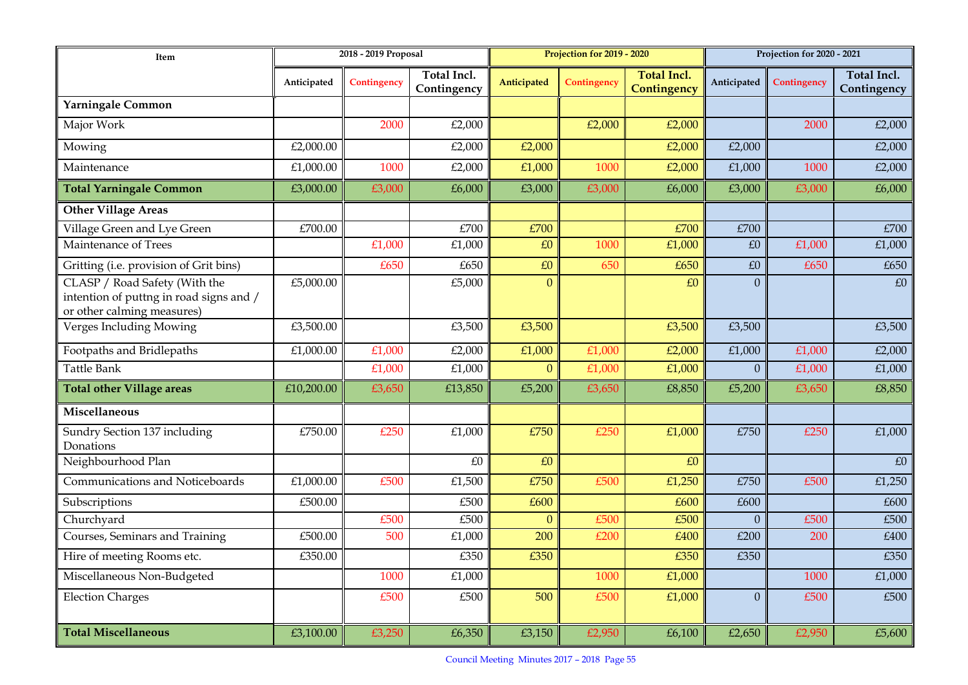| Item                                                                                                   | 2018 - 2019 Proposal |             |                                   | Projection for 2019 - 2020 |             |                                   | Projection for 2020 - 2021 |             |                            |
|--------------------------------------------------------------------------------------------------------|----------------------|-------------|-----------------------------------|----------------------------|-------------|-----------------------------------|----------------------------|-------------|----------------------------|
|                                                                                                        | Anticipated          | Contingency | <b>Total Incl.</b><br>Contingency | Anticipated                | Contingency | <b>Total Incl.</b><br>Contingency | Anticipated                | Contingency | Total Incl.<br>Contingency |
| Yarningale Common                                                                                      |                      |             |                                   |                            |             |                                   |                            |             |                            |
| Major Work                                                                                             |                      | 2000        | £2,000                            |                            | £2,000      | £2,000                            |                            | 2000        | £2,000                     |
| Mowing                                                                                                 | £2,000.00            |             | £2,000                            | £2,000                     |             | £2,000                            | £2,000                     |             | £2,000                     |
| Maintenance                                                                                            | £1,000.00            | 1000        | £2,000                            | £1,000                     | 1000        | £2,000                            | £1,000                     | 1000        | £2,000                     |
| <b>Total Yarningale Common</b>                                                                         | £3,000.00            | £3,000      | £6,000                            | £3,000                     | £3,000      | £6,000                            | £3,000                     | £3,000      | £6,000                     |
| <b>Other Village Areas</b>                                                                             |                      |             |                                   |                            |             |                                   |                            |             |                            |
| Village Green and Lye Green                                                                            | £700.00              |             | E700                              | £700                       |             | £700                              | £700                       |             | £700                       |
| Maintenance of Trees                                                                                   |                      | £1,000      | £1,000                            | £0                         | 1000        | £1,000                            | £0                         | £1,000      | £1,000                     |
| Gritting (i.e. provision of Grit bins)                                                                 |                      | £650        | £650                              | £0                         | 650         | £650                              | £0                         | £650        | £650                       |
| CLASP / Road Safety (With the<br>intention of puttng in road signs and /<br>or other calming measures) | £5,000.00            |             | £5,000                            | $\overline{0}$             |             | £0                                | $\overline{0}$             |             | £0                         |
| Verges Including Mowing                                                                                | £3,500.00            |             | £3,500                            | £3,500                     |             | £3,500                            | £3,500                     |             | £3,500                     |
| Footpaths and Bridlepaths                                                                              | £1,000.00            | £1,000      | £2,000                            | £1,000                     | £1,000      | £2,000                            | £1,000                     | £1,000      | £2,000                     |
| <b>Tattle Bank</b>                                                                                     |                      | £1,000      | £1,000                            | $\overline{0}$             | £1,000      | £1,000                            | $\overline{0}$             | £1,000      | £1,000                     |
| <b>Total other Village areas</b>                                                                       | £10,200.00           | £3,650      | £13,850                           | £5,200                     | £3,650      | £8,850                            | £5,200                     | £3,650      | £8,850                     |
| <b>Miscellaneous</b>                                                                                   |                      |             |                                   |                            |             |                                   |                            |             |                            |
| Sundry Section 137 including<br>Donations                                                              | £750.00              | £250        | £1,000                            | £750                       | £250        | £1,000                            | £750                       | £250        | £1,000                     |
| Neighbourhood Plan                                                                                     |                      |             | £0                                | £0                         |             | £0                                |                            |             | $\pounds0$                 |
| Communications and Noticeboards                                                                        | £1,000.00            | £500        | £1,500                            | £750                       | £500        | £1,250                            | £750                       | £500        | £1,250                     |
| Subscriptions                                                                                          | £500.00              |             | £500                              | £600                       |             | £600                              | £600                       |             | £600                       |
| Churchyard                                                                                             |                      | £500        | £500                              | $\mathbf{0}$               | £500        | £500                              | $\Omega$                   | £500        | £500                       |
| Courses, Seminars and Training                                                                         | £500.00              | 500         | £1,000                            | 200                        | £200        | £400                              | £200                       | 200         | £400                       |
| Hire of meeting Rooms etc.                                                                             | £350.00              |             | £350                              | £350                       |             | £350                              | £350                       |             | £350                       |
| Miscellaneous Non-Budgeted                                                                             |                      | 1000        | £1,000                            |                            | 1000        | £1,000                            |                            | 1000        | £1,000                     |
| <b>Election Charges</b>                                                                                |                      | £500        | £500                              | 500                        | £500        | £1,000                            | $\overline{0}$             | £500        | £500                       |
| <b>Total Miscellaneous</b>                                                                             | £3,100.00            | £3,250      | £6,350                            | £3,150                     | £2,950      | £6,100                            | £2,650                     | £2,950      | £5,600                     |